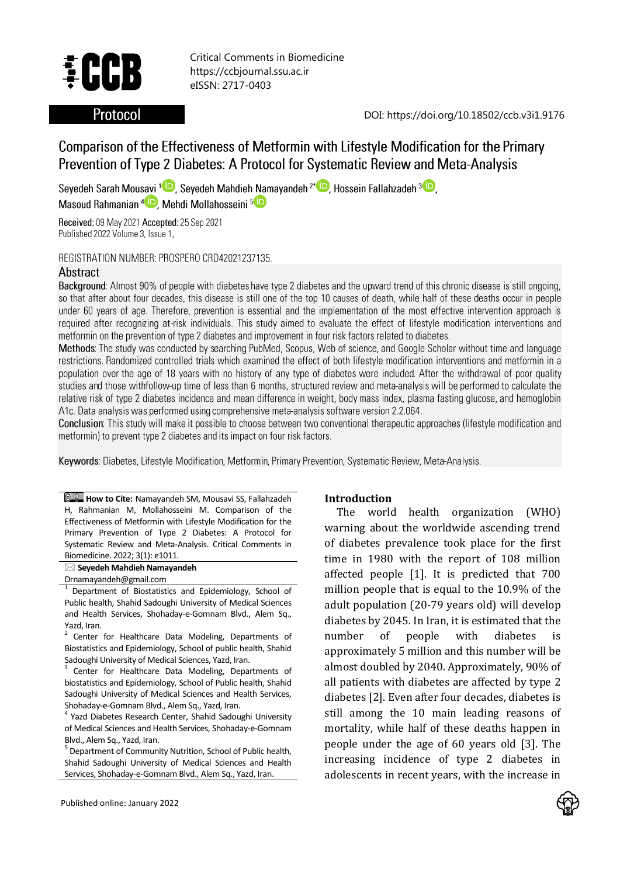

Critical Comments in Biomedicine https://ccbjournal.ssu.ac.ir eISSN: 2717-0403

# **Protocol**

DOI: https://doi.org/10.18502/ccb.v3i1.9176

# Comparison of the Effectiveness of Metformin with Lifestyle Modification for the Primary Prevention of Type 2 Diabetes: A Protocol for Systematic Review and Meta-Analysis

Seyedeh Sarah Mousavi<sup>1</sup> D. Seyedeh Mahdieh Namayandeh<sup>2\*</sup> D. Hossein Fallahzadeh<sup>3</sup> D. Masoud Rahmanian<sup>4</sup><sup>D</sup>, Mehdi Mollahosseini<sup>5</sup><sup>D</sup>

Received: 09 May 2021 Accepted: 25 Sep 2021 Published 2022 Volume 3, Issue 1,

REGISTRATION NUMBER: PROSPERO CRD42021237135.

#### Abstract

Background: Almost 90% of people with diabetes have type 2 diabetes and the upward trend of this chronic disease is still ongoing, so that after about four decades, this disease is still one of the top 10 causes of death, while half of these deaths occur in people under 60 years of age. Therefore, prevention is essential and the implementation of the most effective intervention approach is required after recognizing at-risk individuals. This study aimed to evaluate the effect of lifestyle modification interventions and metformin on the prevention of type 2 diabetes and improvement in four risk factors related to diabetes.

Methods: The study was conducted by searching PubMed, Scopus, Web of science, and Google Scholar without time and language restrictions. Randomized controlled trials which examined the effect of both lifestyle modification interventions and metformin in a population over the age of 18 years with no history of any type of diabetes were included. After the withdrawal of poor quality studies and those withfollow-up time of less than 6 months, structured review and meta-analysis will be performed to calculate the relative risk of type 2 diabetes incidence and mean difference in weight, body mass index, plasma fasting glucose, and hemoglobin A1c. Data analysis was performed using comprehensive meta-analysis software version 2.2.064.

**Conclusion:** This study will make it possible to choose between two conventional therapeutic approaches (lifestyle modification and metformin) to prevent type 2 diabetes and its impact on four risk factors.

Keywords: Diabetes, Lifestyle Modification, Metformin, Primary Prevention, Systematic Review, Meta-Analysis.

**E.** How to Cite: Namayandeh SM, Mousavi SS, Fallahzadeh H, Rahmanian M, Mollahosseini M. Comparison of the Effectiveness of Metformin with Lifestyle Modification for the Primary Prevention of Type 2 Diabetes: A Protocol for Systematic Review and Meta-Analysis. Critical Comments in Biomedicine. 2022; 3(1): e1011.

**Seyedeh Mahdieh Namayandeh**

Drnamayandeh@gmail.com

1 Department of Biostatistics and Epidemiology, School of Public health, Shahid Sadoughi University of Medical Sciences and Health Services, Shohaday-e-Gomnam Blvd., Alem Sq., Yazd, Iran.

2 Center for Healthcare Data Modeling, Departments of Biostatistics and Epidemiology, School of public health, Shahid Sadoughi University of Medical Sciences, Yazd, Iran.

3 Center for Healthcare Data Modeling, Departments of biostatistics and Epidemiology, School of Public health, Shahid Sadoughi University of Medical Sciences and Health Services, Shohaday-e-Gomnam Blvd., Alem Sq., Yazd, Iran.

<sup>4</sup> Yazd Diabetes Research Center, Shahid Sadoughi University of Medical Sciences and Health Services, Shohaday-e-Gomnam Blvd., Alem Sq., Yazd, Iran.

<sup>5</sup> Department of Community Nutrition, School of Public health, Shahid Sadoughi University of Medical Sciences and Health Services, Shohaday-e-Gomnam Blvd., Alem Sq., Yazd, Iran.

### **Introduction**

The world health organization (WHO) warning about the worldwide ascending trend of diabetes prevalence took place for the first time in 1980 with the report of 108 million affected people [1]. It is predicted that 700 million people that is equal to the 10.9% of the adult population (20-79 years old) will develop diabetes by 2045. In Iran, it is estimated that the number of people with diabetes is approximately 5 million and this number will be almost doubled by 2040. Approximately, 90% of all patients with diabetes are affected by type 2 diabetes [2]. Even after four decades, diabetes is still among the 10 main leading reasons of mortality, while half of these deaths happen in people under the age of 60 years old [3]. The increasing incidence of type 2 diabetes in adolescents in recent years, with the increase in

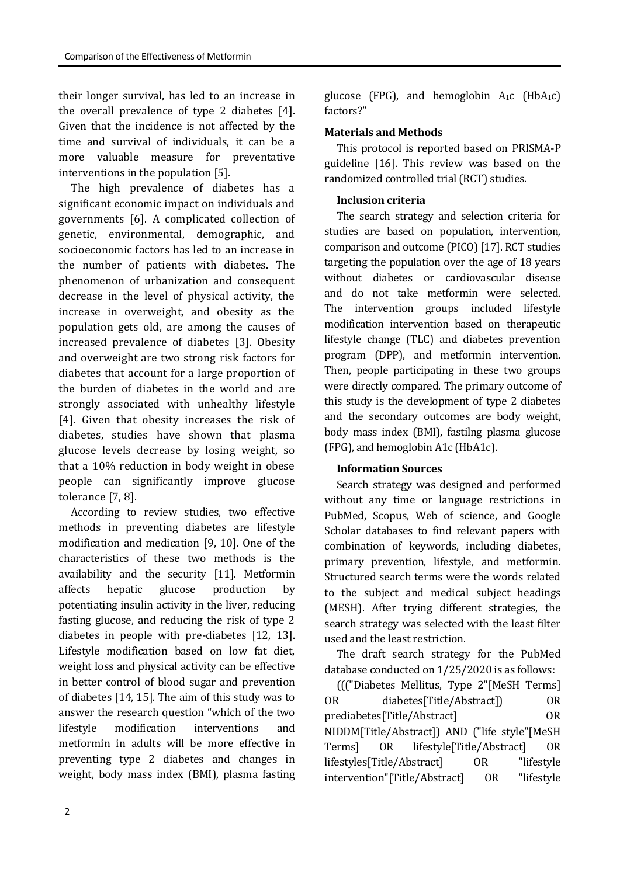their longer survival, has led to an increase in the overall prevalence of type 2 diabetes [4]. Given that the incidence is not affected by the time and survival of individuals, it can be a more valuable measure for preventative interventions in the population [5].

The high prevalence of diabetes has a significant economic impact on individuals and governments [6]. A complicated collection of genetic, environmental, demographic, and socioeconomic factors has led to an increase in the number of patients with diabetes. The phenomenon of urbanization and consequent decrease in the level of physical activity, the increase in overweight, and obesity as the population gets old, are among the causes of increased prevalence of diabetes [3]. Obesity and overweight are two strong risk factors for diabetes that account for a large proportion of the burden of diabetes in the world and are strongly associated with unhealthy lifestyle [4]. Given that obesity increases the risk of diabetes, studies have shown that plasma glucose levels decrease by losing weight, so that a 10% reduction in body weight in obese people can significantly improve glucose tolerance [7, 8].

According to review studies, two effective methods in preventing diabetes are lifestyle modification and medication [9, 10]. One of the characteristics of these two methods is the availability and the security [11]. Metformin affects hepatic glucose production by potentiating insulin activity in the liver, reducing fasting glucose, and reducing the risk of type 2 diabetes in people with pre-diabetes [12, 13]. Lifestyle modification based on low fat diet, weight loss and physical activity can be effective in better control of blood sugar and prevention of diabetes [14, 15]. The aim of this study was to answer the research question "which of the two lifestyle modification interventions and metformin in adults will be more effective in preventing type 2 diabetes and changes in weight, body mass index (BMI), plasma fasting glucose (FPG), and hemoglobin  $A_1c$  (Hb $A_1c$ ) factors?"

## **Materials and Methods**

This protocol is reported based on PRISMA-P guideline [16]. This review was based on the randomized controlled trial (RCT) studies.

# **Inclusion criteria**

The search strategy and selection criteria for studies are based on population, intervention, comparison and outcome (PICO) [17]. RCT studies targeting the population over the age of 18 years without diabetes or cardiovascular disease and do not take metformin were selected. The intervention groups included lifestyle modification intervention based on therapeutic lifestyle change (TLC) and diabetes prevention program (DPP), and metformin intervention. Then, people participating in these two groups were directly compared. The primary outcome of this study is the development of type 2 diabetes and the secondary outcomes are body weight, body mass index (BMI), fastilng plasma glucose (FPG), and hemoglobin A1c (HbA1c).

# **Information Sources**

Search strategy was designed and performed without any time or language restrictions in PubMed, Scopus, Web of science, and Google Scholar databases to find relevant papers with combination of keywords, including diabetes, primary prevention, lifestyle, and metformin. Structured search terms were the words related to the subject and medical subject headings (MESH). After trying different strategies, the search strategy was selected with the least filter used and the least restriction.

The draft search strategy for the PubMed database conducted on 1/25/2020 is as follows:

((("Diabetes Mellitus, Type 2"[MeSH Terms] OR diabetes[Title/Abstract]) OR prediabetes[Title/Abstract] OR NIDDM[Title/Abstract]) AND ("life style"[MeSH Terms] OR lifestyle[Title/Abstract] OR lifestyles[Title/Abstract] OR "lifestyle intervention"[Title/Abstract] OR "lifestyle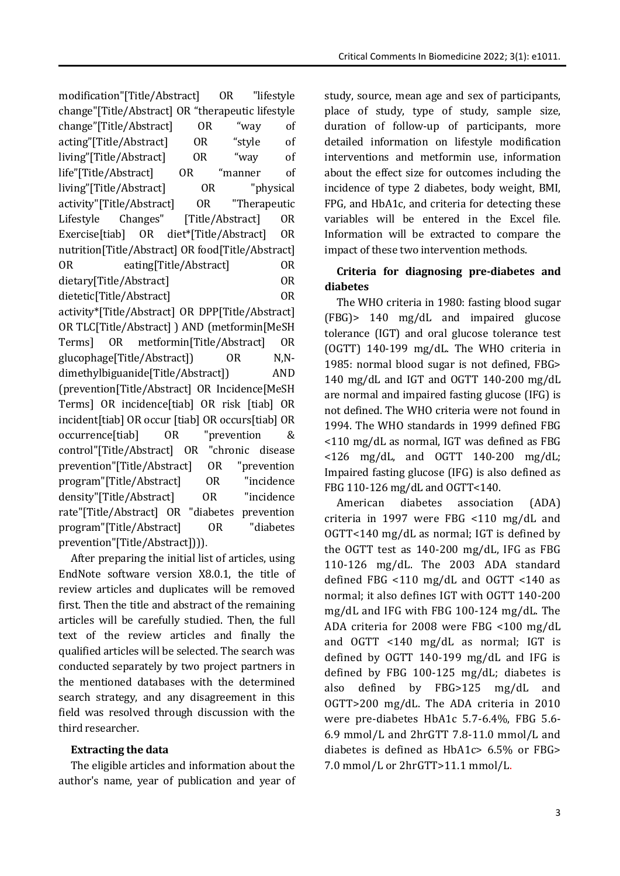modification"[Title/Abstract] OR "lifestyle change"[Title/Abstract] OR "therapeutic lifestyle change"[Title/Abstract] OR "way of acting"[Title/Abstract] OR "style of living"[Title/Abstract] OR "way of life"[Title/Abstract] OR "manner of living"[Title/Abstract] OR "physical activity"[Title/Abstract] OR "Therapeutic Lifestyle Changes" [Title/Abstract] OR Exercise[tiab] OR diet\*[Title/Abstract] OR nutrition[Title/Abstract] OR food[Title/Abstract] OR eating[Title/Abstract] OR dietary[Title/Abstract] OR dietetic[Title/Abstract] OR activity\*[Title/Abstract] OR DPP[Title/Abstract] OR TLC[Title/Abstract] ) AND (metformin[MeSH Terms] OR metformin[Title/Abstract] OR glucophage[Title/Abstract]) OR N,Ndimethylbiguanide[Title/Abstract]) AND (prevention[Title/Abstract] OR Incidence[MeSH Terms] OR incidence[tiab] OR risk [tiab] OR incident[tiab] OR occur [tiab] OR occurs[tiab] OR occurrence[tiab] OR "prevention & control"[Title/Abstract] OR "chronic disease prevention"[Title/Abstract] OR "prevention program"[Title/Abstract] OR "incidence density"[Title/Abstract] OR "incidence rate"[Title/Abstract] OR "diabetes prevention program"[Title/Abstract] OR "diabetes prevention"[Title/Abstract]))).

After preparing the initial list of articles, using EndNote software version X8.0.1, the title of review articles and duplicates will be removed first. Then the title and abstract of the remaining articles will be carefully studied. Then, the full text of the review articles and finally the qualified articles will be selected. The search was conducted separately by two project partners in the mentioned databases with the determined search strategy, and any disagreement in this field was resolved through discussion with the third researcher.

# **Extracting the data**

The eligible articles and information about the author's name, year of publication and year of study, source, mean age and sex of participants, place of study, type of study, sample size, duration of follow-up of participants, more detailed information on lifestyle modification interventions and metformin use, information about the effect size for outcomes including the incidence of type 2 diabetes, body weight, BMI, FPG, and HbA1c, and criteria for detecting these variables will be entered in the Excel file. Information will be extracted to compare the impact of these two intervention methods.

# **Criteria for diagnosing pre-diabetes and diabetes**

The WHO criteria in 1980: fasting blood sugar (FBG)> 140 mg/dL and impaired glucose tolerance (IGT) and oral glucose tolerance test (OGTT) 140-199 mg/dL. The WHO criteria in 1985: normal blood sugar is not defined, FBG> 140 mg/dL and IGT and OGTT 140-200 mg/dL are normal and impaired fasting glucose (IFG) is not defined. The WHO criteria were not found in 1994. The WHO standards in 1999 defined FBG <110 mg/dL as normal, IGT was defined as FBG  $\langle 126 \text{ mg/dL} \rangle$  and OGTT 140-200 mg/dL; Impaired fasting glucose (IFG) is also defined as FBG 110-126 mg/dL and OGTT<140.

American diabetes association (ADA) criteria in 1997 were FBG <110 mg/dL and OGTT<140 mg/dL as normal; IGT is defined by the OGTT test as 140-200 mg/dL, IFG as FBG 110-126 mg/dL. The 2003 ADA standard defined FBG <110 mg/dL and OGTT <140 as normal; it also defines IGT with OGTT 140-200 mg/dL and IFG with FBG 100-124 mg/dL. The ADA criteria for 2008 were FBG <100 mg/dL and OGTT <140 mg/dL as normal; IGT is defined by OGTT 140-199 mg/dL and IFG is defined by FBG 100-125 mg/dL; diabetes is also defined by FBG>125 mg/dL and OGTT>200 mg/dL. The ADA criteria in 2010 were pre-diabetes HbA1c 5.7-6.4%, FBG 5.6- 6.9 mmol/L and 2hrGTT 7.8-11.0 mmol/L and diabetes is defined as HbA1c> 6.5% or FBG> 7.0 mmol/L or 2hrGTT>11.1 mmol/L.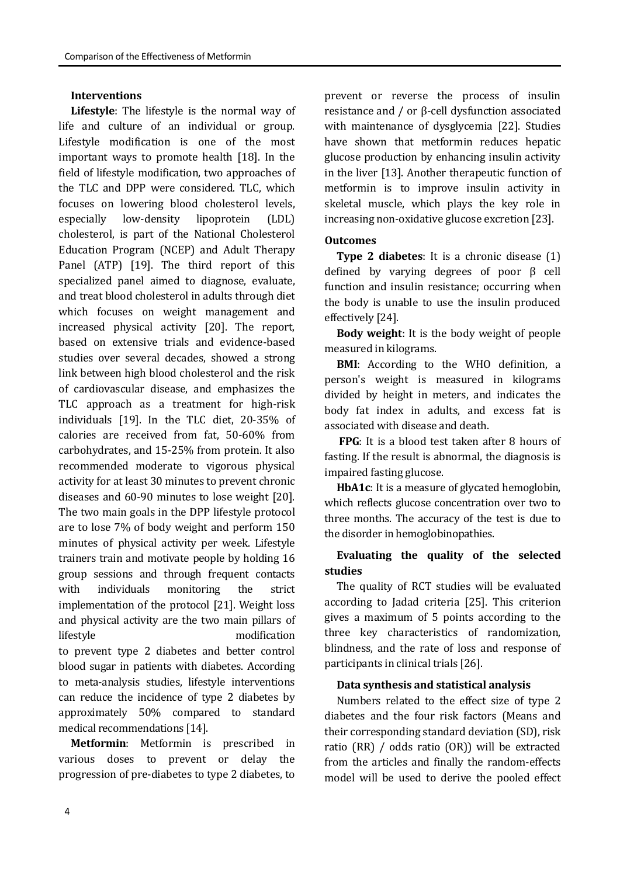#### **Interventions**

**Lifestyle**: The lifestyle is the normal way of life and culture of an individual or group. Lifestyle modification is one of the most important ways to promote health [18]. In the field of lifestyle modification, two approaches of the TLC and DPP were considered. TLC, which focuses on lowering blood cholesterol levels, especially low-density lipoprotein (LDL) cholesterol, is part of the National Cholesterol Education Program (NCEP) and Adult Therapy Panel (ATP) [19]. The third report of this specialized panel aimed to diagnose, evaluate, and treat blood cholesterol in adults through diet which focuses on weight management and increased physical activity [20]. The report, based on extensive trials and evidence-based studies over several decades, showed a strong link between high blood cholesterol and the risk of cardiovascular disease, and emphasizes the TLC approach as a treatment for high-risk individuals [19]. In the TLC diet, 20-35% of calories are received from fat, 50-60% from carbohydrates, and 15-25% from protein. It also recommended moderate to vigorous physical activity for at least 30 minutes to prevent chronic diseases and 60-90 minutes to lose weight [20]. The two main goals in the DPP lifestyle protocol are to lose 7% of body weight and perform 150 minutes of physical activity per week. Lifestyle trainers train and motivate people by holding 16 group sessions and through frequent contacts with individuals monitoring the strict implementation of the protocol [21]. Weight loss and physical activity are the two main pillars of lifestyle modification to prevent type 2 diabetes and better control blood sugar in patients with diabetes. According to meta-analysis studies, lifestyle interventions can reduce the incidence of type 2 diabetes by approximately 50% compared to standard medical recommendations [14].

**Metformin**: Metformin is prescribed in various doses to prevent or delay the progression of pre-diabetes to type 2 diabetes, to

prevent or reverse the process of insulin resistance and / or β-cell dysfunction associated with maintenance of dysglycemia [22]. Studies have shown that metformin reduces hepatic glucose production by enhancing insulin activity in the liver [13]. Another therapeutic function of metformin is to improve insulin activity in skeletal muscle, which plays the key role in increasing non-oxidative glucose excretion [23].

### **Outcomes**

**Type 2 diabetes**: It is a chronic disease (1) defined by varying degrees of poor β cell function and insulin resistance; occurring when the body is unable to use the insulin produced effectively [24].

**Body weight**: It is the body weight of people measured in kilograms.

**BMI**: According to the WHO definition, a person's weight is measured in kilograms divided by height in meters, and indicates the body fat index in adults, and excess fat is associated with disease and death.

**FPG**: It is a blood test taken after 8 hours of fasting. If the result is abnormal, the diagnosis is impaired fasting glucose.

**HbA1c**: It is a measure of glycated hemoglobin, which reflects glucose concentration over two to three months. The accuracy of the test is due to the disorder in hemoglobinopathies.

# **Evaluating the quality of the selected studies**

The quality of RCT studies will be evaluated according to Jadad criteria [25]. This criterion gives a maximum of 5 points according to the three key characteristics of randomization, blindness, and the rate of loss and response of participants in clinical trials [26].

### **Data synthesis and statistical analysis**

Numbers related to the effect size of type 2 diabetes and the four risk factors (Means and their corresponding standard deviation (SD), risk ratio (RR) / odds ratio (OR)) will be extracted from the articles and finally the random-effects model will be used to derive the pooled effect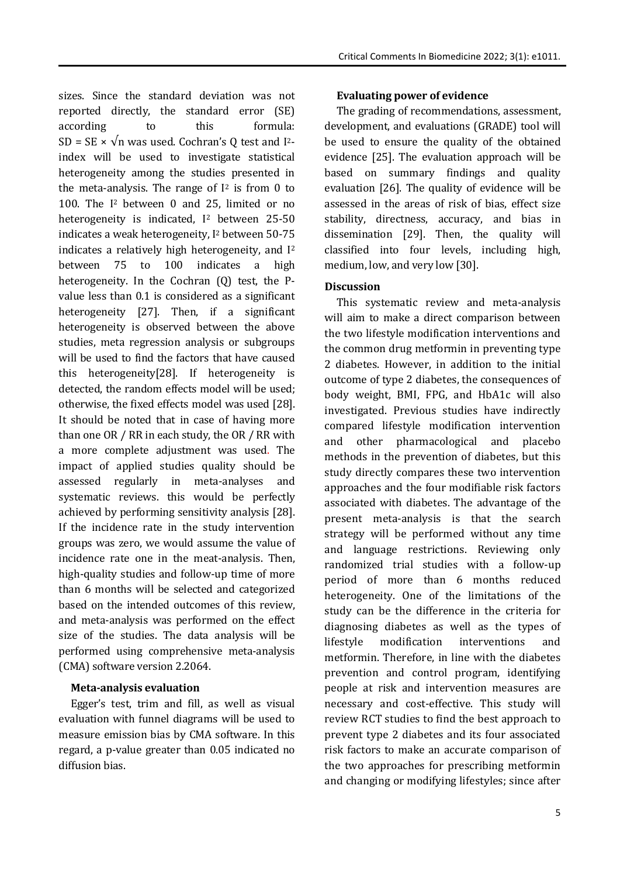sizes. Since the standard deviation was not reported directly, the standard error (SE) according to this formula: SD = SE  $\times$   $\sqrt{n}$  was used. Cochran's Q test and I<sup>2</sup>index will be used to investigate statistical heterogeneity among the studies presented in the meta-analysis. The range of  $I<sup>2</sup>$  is from 0 to 100. The I <sup>2</sup> between 0 and 25, limited or no heterogeneity is indicated,  $I^2$  between 25-50 indicates a weak heterogeneity, I<sup>2</sup> between 50-75 indicates a relatively high heterogeneity, and I<sup>2</sup> between 75 to 100 indicates a high heterogeneity. In the Cochran (Q) test, the Pvalue less than 0.1 is considered as a significant heterogeneity [27]. Then, if a significant heterogeneity is observed between the above studies, meta regression analysis or subgroups will be used to find the factors that have caused this heterogeneity[28]. If heterogeneity is detected, the random effects model will be used; otherwise, the fixed effects model was used [28]. It should be noted that in case of having more than one OR / RR in each study, the OR / RR with a more complete adjustment was used. The impact of applied studies quality should be assessed regularly in meta-analyses and systematic reviews. this would be perfectly achieved by performing sensitivity analysis [28]. If the incidence rate in the study intervention groups was zero, we would assume the value of incidence rate one in the meat-analysis. Then, high-quality studies and follow-up time of more than 6 months will be selected and categorized based on the intended outcomes of this review, and meta-analysis was performed on the effect size of the studies. The data analysis will be performed using comprehensive meta-analysis (CMA) software version 2.2064.

### **Meta-analysis evaluation**

Egger's test, trim and fill, as well as visual evaluation with funnel diagrams will be used to measure emission bias by CMA software. In this regard, a p-value greater than 0.05 indicated no diffusion bias.

### **Evaluating power of evidence**

The grading of recommendations, assessment, development, and evaluations (GRADE) tool will be used to ensure the quality of the obtained evidence [25]. The evaluation approach will be based on summary findings and quality evaluation [26]. The quality of evidence will be assessed in the areas of risk of bias, effect size stability, directness, accuracy, and bias in dissemination [29]. Then, the quality will classified into four levels, including high, medium, low, and very low [30].

### **Discussion**

This systematic review and meta-analysis will aim to make a direct comparison between the two lifestyle modification interventions and the common drug metformin in preventing type 2 diabetes. However, in addition to the initial outcome of type 2 diabetes, the consequences of body weight, BMI, FPG, and HbA1c will also investigated. Previous studies have indirectly compared lifestyle modification intervention and other pharmacological and placebo methods in the prevention of diabetes, but this study directly compares these two intervention approaches and the four modifiable risk factors associated with diabetes. The advantage of the present meta-analysis is that the search strategy will be performed without any time and language restrictions. Reviewing only randomized trial studies with a follow-up period of more than 6 months reduced heterogeneity. One of the limitations of the study can be the difference in the criteria for diagnosing diabetes as well as the types of lifestyle modification interventions and metformin. Therefore, in line with the diabetes prevention and control program, identifying people at risk and intervention measures are necessary and cost-effective. This study will review RCT studies to find the best approach to prevent type 2 diabetes and its four associated risk factors to make an accurate comparison of the two approaches for prescribing metformin and changing or modifying lifestyles; since after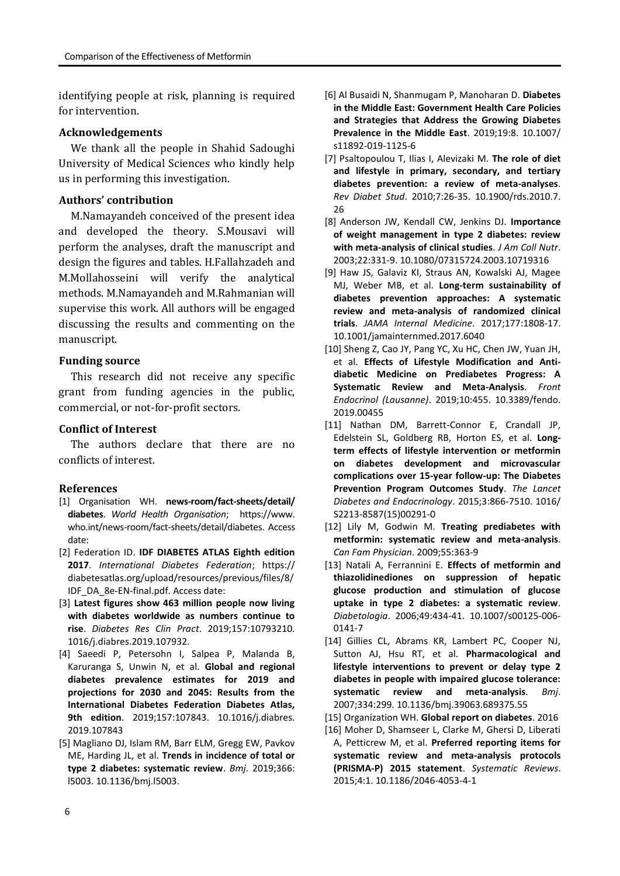identifying people at risk, planning is required for intervention.

### **Acknowledgements**

We thank all the people in Shahid Sadoughi University of Medical Sciences who kindly help us in performing this investigation.

#### **Authors' contribution**

M.Namayandeh conceived of the present idea and developed the theory. S.Mousavi will perform the analyses, draft the manuscript and design the figures and tables. H.Fallahzadeh and M.Mollahosseini will verify the analytical methods. M.Namayandeh and M.Rahmanian will supervise this work. All authors will be engaged discussing the results and commenting on the manuscript.

#### **Funding source**

This research did not receive any specific grant from funding agencies in the public, commercial, or not-for-profit sectors.

#### **Conflict of Interest**

The authors declare that there are no conflicts of interest.

#### **References**

- [1] Organisation WH. **news-room/fact-sheets/detail/ diabetes**. *World Health Organisation*; https://www. who.int/news-room/fact-sheets/detail/diabetes. Access date:
- [2] Federation ID. **IDF DIABETES ATLAS Eighth edition 2017**. *International Diabetes Federation*; https:// diabetesatlas.org/upload/resources/previous/files/8/ IDF\_DA\_8e-EN-final.pdf. Access date:
- [3] **Latest figures show 463 million people now living with diabetes worldwide as numbers continue to rise**. *Diabetes Res Clin Pract*. 2019;157:10793210. 1016/j.diabres.2019.107932.
- [4] Saeedi P, Petersohn I, Salpea P, Malanda B, Karuranga S, Unwin N, et al. **Global and regional diabetes prevalence estimates for 2019 and projections for 2030 and 2045: Results from the International Diabetes Federation Diabetes Atlas, 9th edition**. 2019;157:107843. 10.1016/j.diabres. 2019.107843
- [5] Magliano DJ, Islam RM, Barr ELM, Gregg EW, Pavkov ME, Harding JL, et al. **Trends in incidence of total or type 2 diabetes: systematic review**. *Bmj*. 2019;366: l5003. 10.1136/bmj.l5003.
- [6] Al Busaidi N, Shanmugam P, Manoharan D. **Diabetes in the Middle East: Government Health Care Policies and Strategies that Address the Growing Diabetes Prevalence in the Middle East**. 2019;19:8. 10.1007/ s11892-019-1125-6
- [7] Psaltopoulou T, Ilias I, Alevizaki M. **The role of diet and lifestyle in primary, secondary, and tertiary diabetes prevention: a review of meta-analyses**. *Rev Diabet Stud*. 2010;7:26-35. 10.1900/rds.2010.7. 26
- [8] Anderson JW, Kendall CW, Jenkins DJ. **Importance of weight management in type 2 diabetes: review with meta-analysis of clinical studies**. *J Am Coll Nutr*. 2003;22:331-9. 10.1080/07315724.2003.10719316
- [9] Haw JS, Galaviz KI, Straus AN, Kowalski AJ, Magee MJ, Weber MB, et al. **Long-term sustainability of diabetes prevention approaches: A systematic review and meta-analysis of randomized clinical trials**. *JAMA Internal Medicine*. 2017;177:1808-17. 10.1001/jamainternmed.2017.6040
- [10] Sheng Z, Cao JY, Pang YC, Xu HC, Chen JW, Yuan JH, et al. **Effects of Lifestyle Modification and Antidiabetic Medicine on Prediabetes Progress: A Systematic Review and Meta-Analysis**. *Front Endocrinol (Lausanne)*. 2019;10:455. 10.3389/fendo. 2019.00455
- [11] Nathan DM, Barrett-Connor E, Crandall JP, Edelstein SL, Goldberg RB, Horton ES, et al. **Longterm effects of lifestyle intervention or metformin on diabetes development and microvascular complications over 15-year follow-up: The Diabetes Prevention Program Outcomes Study**. *The Lancet Diabetes and Endocrinology*. 2015;3:866-7510. 1016/ S2213-8587(15)00291-0
- [12] Lily M, Godwin M. **Treating prediabetes with metformin: systematic review and meta-analysis**. *Can Fam Physician*. 2009;55:363-9
- [13] Natali A, Ferrannini E. **Effects of metformin and thiazolidinediones on suppression of hepatic glucose production and stimulation of glucose uptake in type 2 diabetes: a systematic review**. *Diabetologia*. 2006;49:434-41. 10.1007/s00125-006- 0141-7
- [14] Gillies CL, Abrams KR, Lambert PC, Cooper NJ, Sutton AJ, Hsu RT, et al. **Pharmacological and lifestyle interventions to prevent or delay type 2 diabetes in people with impaired glucose tolerance: systematic review and meta-analysis**. *Bmj*. 2007;334:299. 10.1136/bmj.39063.689375.55
- [15] Organization WH. **Global report on diabetes**. 2016
- [16] Moher D, Shamseer L, Clarke M, Ghersi D, Liberati A, Petticrew M, et al. **Preferred reporting items for systematic review and meta-analysis protocols (PRISMA-P) 2015 statement**. *Systematic Reviews*. 2015;4:1. 10.1186/2046-4053-4-1